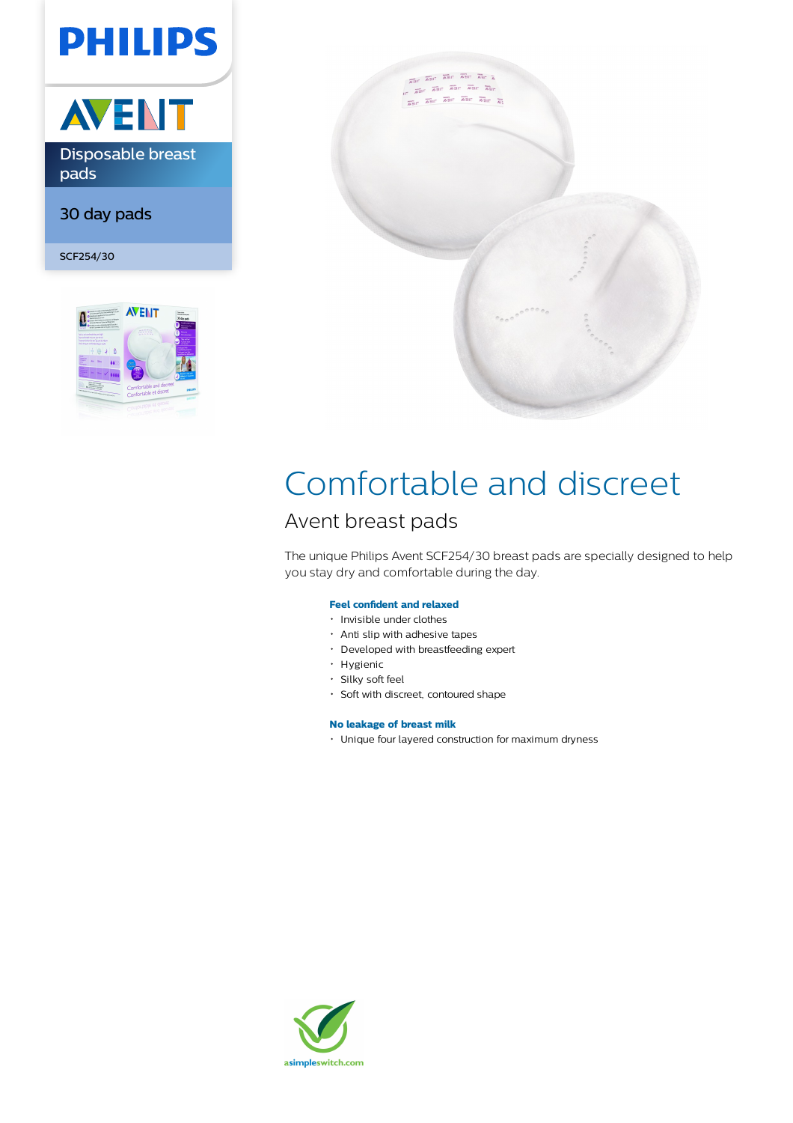# **PHILIPS**



30 day pads

SCF254/30





## Comfortable and discreet

## Avent breast pads

The unique Philips Avent SCF254/30 breast pads are specially designed to help you stay dry and comfortable during the day.

## **Feel confident and relaxed**

- · Invisible under clothes
- Anti slip with adhesive tapes
- Developed with breastfeeding expert
- · Hygienic
- Silky soft feel
- Soft with discreet, contoured shape

## **No leakage of breast milk**

Unique four layered construction for maximum dryness